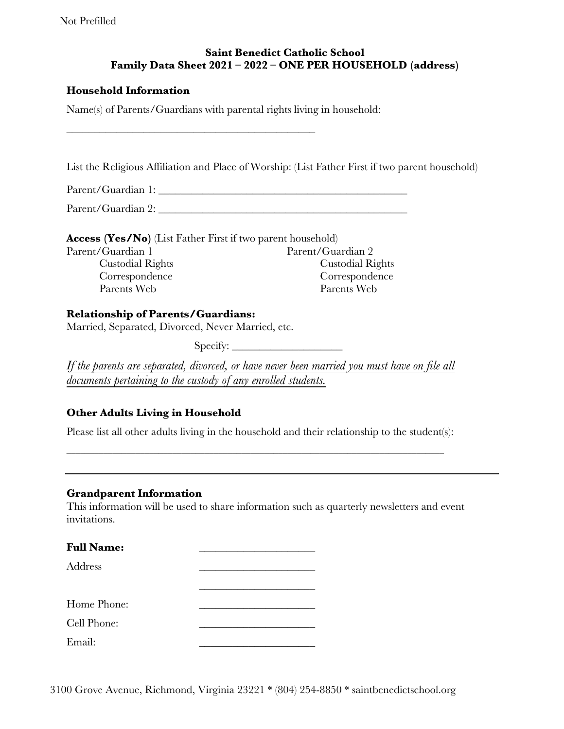Not Prefilled

# **Saint Benedict Catholic School Family Data Sheet 2021 – 2022 – ONE PER HOUSEHOLD (address)**

### **Household Information**

Name(s) of Parents/Guardians with parental rights living in household:

\_\_\_\_\_\_\_\_\_\_\_\_\_\_\_\_\_\_\_\_\_\_\_\_\_\_\_\_\_\_\_\_\_\_\_\_\_\_\_\_\_\_\_\_\_

List the Religious Affiliation and Place of Worship: (List Father First if two parent household)

Parent/Guardian 1: \_\_\_\_\_\_\_\_\_\_\_\_\_\_\_\_\_\_\_\_\_\_\_\_\_\_\_\_\_\_\_\_\_\_\_\_\_\_\_\_\_\_\_\_\_

Parent/Guardian 2:

**Access (Yes/No)** (List Father First if two parent household) Parent/Guardian 1 Parent/Guardian 2 Custodial Rights Correspondence Parents Web Custodial Rights Correspondence Parents Web

#### **Relationship of Parents/Guardians:**

Married, Separated, Divorced, Never Married, etc.

Specify: \_\_\_\_\_\_\_\_\_\_\_\_\_\_\_\_\_\_\_\_

*If the parents are separated, divorced, or have never been married you must have on file all documents pertaining to the custody of any enrolled students.* 

# **Other Adults Living in Household**

Please list all other adults living in the household and their relationship to the student(s):

\_\_\_\_\_\_\_\_\_\_\_\_\_\_\_\_\_\_\_\_\_\_\_\_\_\_\_\_\_\_\_\_\_\_\_\_\_\_\_\_\_\_\_\_\_\_\_\_\_\_\_\_\_\_\_\_\_\_\_\_\_\_\_\_\_\_\_\_\_\_\_\_\_\_\_\_\_\_\_\_\_\_

#### **Grandparent Information**

This information will be used to share information such as quarterly newsletters and event invitations.

| <b>Full Name:</b> |  |
|-------------------|--|
| Address           |  |
|                   |  |
| Home Phone:       |  |
| Cell Phone:       |  |
| Email:            |  |